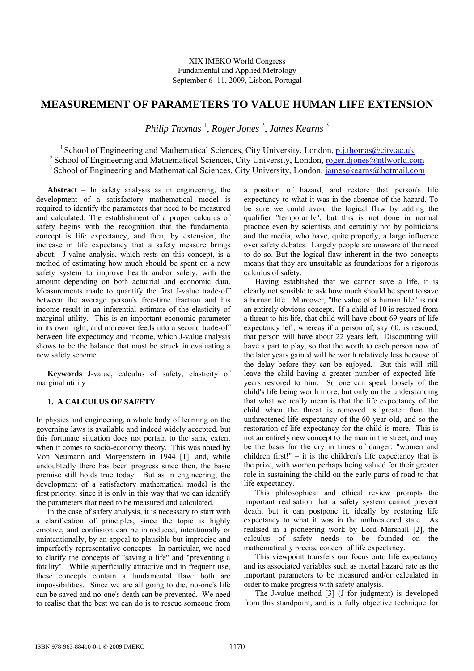# **MEASUREMENT OF PARAMETERS TO VALUE HUMAN LIFE EXTENSION**

*Philip Thomas* <sup>1</sup> , *Roger Jones* <sup>2</sup> , *James Kearns* <sup>3</sup>

<sup>1</sup> School of Engineering and Mathematical Sciences, City University, London, [p.j.thomas@city.ac.uk](mailto:p.j.thomas@city.ac.uk) <sup>2</sup> School of Engineering and Mathematical Sciences, City University, London, [roger.djones@ntlworld.com](mailto:roger.djones@ntlworld.com) <sup>3</sup> School of Engineering and Mathematical Sciences, City University, London, [jamesokearns@hotmail.com](mailto:jamesokearns@hotmail.com)

**Abstract** – In safety analysis as in engineering, the development of a satisfactory mathematical model is required to identify the parameters that need to be measured and calculated. The establishment of a proper calculus of safety begins with the recognition that the fundamental concept is life expectancy, and then, by extension, the increase in life expectancy that a safety measure brings about. J-value analysis, which rests on this concept, is a method of estimating how much should be spent on a new safety system to improve health and/or safety, with the amount depending on both actuarial and economic data. Measurements made to quantify the first J-value trade-off between the average person's free-time fraction and his income result in an inferential estimate of the elasticity of marginal utility. This is an important economic parameter in its own right, and moreover feeds into a second trade-off between life expectancy and income, which J-value analysis shows to be the balance that must be struck in evaluating a new safety scheme.

**Keywords** J-value, calculus of safety, elasticity of marginal utility

# **1. A CALCULUS OF SAFETY**

In physics and engineering, a whole body of learning on the governing laws is available and indeed widely accepted, but this fortunate situation does not pertain to the same extent when it comes to socio-economy theory. This was noted by Von Neumann and Morgenstern in 1944 [1], and, while undoubtedly there has been progress since then, the basic premise still holds true today. But as in engineering, the development of a satisfactory mathematical model is the first priority, since it is only in this way that we can identify the parameters that need to be measured and calculated.

In the case of safety analysis, it is necessary to start with a clarification of principles, since the topic is highly emotive, and confusion can be introduced, intentionally or unintentionally, by an appeal to plausible but imprecise and imperfectly representative concepts. In particular, we need to clarify the concepts of "saving a life" and "preventing a fatality". While superficially attractive and in frequent use, these concepts contain a fundamental flaw: both are impossibilities. Since we are all going to die, no-one's life can be saved and no-one's death can be prevented. We need to realise that the best we can do is to rescue someone from

a position of hazard, and restore that person's life expectancy to what it was in the absence of the hazard. To be sure we could avoid the logical flaw by adding the qualifier "temporarily", but this is not done in normal practice even by scientists and certainly not by politicians and the media, who have, quite properly, a large influence over safety debates. Largely people are unaware of the need to do so. But the logical flaw inherent in the two concepts means that they are unsuitable as foundations for a rigorous calculus of safety.

Having established that we cannot save a life, it is clearly not sensible to ask how much should be spent to save a human life. Moreover, "the value of a human life" is not an entirely obvious concept. If a child of 10 is rescued from a threat to his life, that child will have about 69 years of life expectancy left, whereas if a person of, say 60, is rescued, that person will have about 22 years left. Discounting will have a part to play, so that the worth to each person now of the later years gained will be worth relatively less because of the delay before they can be enjoyed. But this will still leave the child having a greater number of expected lifeyears restored to him. So one can speak loosely of the child's life being worth more, but only on the understanding that what we really mean is that the life expectancy of the child when the threat is removed is greater than the unthreatened life expectancy of the 60 year old, and so the restoration of life expectancy for the child is more. This is not an entirely new concept to the man in the street, and may be the basis for the cry in times of danger: "women and children first!"  $-$  it is the children's life expectancy that is the prize, with women perhaps being valued for their greater role in sustaining the child on the early parts of road to that life expectancy.

This philosophical and ethical review prompts the important realisation that a safety system cannot prevent death, but it can postpone it, ideally by restoring life expectancy to what it was in the unthreatened state. As realised in a pioneering work by Lord Marshall [2], the calculus of safety needs to be founded on the mathematically precise concept of life expectancy.

This viewpoint transfers our focus onto life expectancy and its associated variables such as mortal hazard rate as the important parameters to be measured and/or calculated in order to make progress with safety analysis.

The J-value method [3] (J for judgment) is developed from this standpoint, and is a fully objective technique for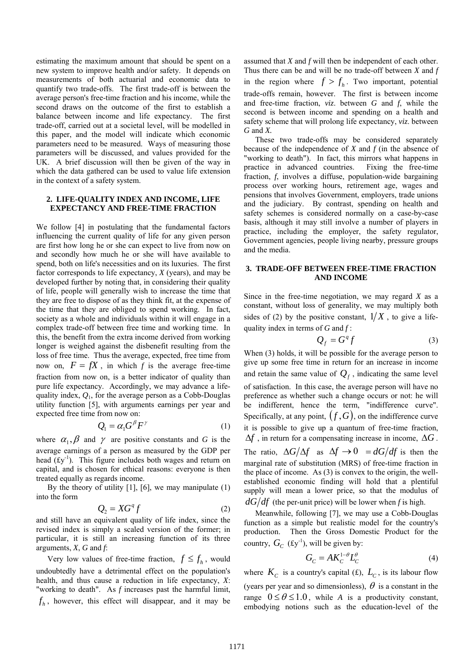estimating the maximum amount that should be spent on a new system to improve health and/or safety. It depends on measurements of both actuarial and economic data to quantify two trade-offs. The first trade-off is between the average person's free-time fraction and his income, while the second draws on the outcome of the first to establish a balance between income and life expectancy. The first trade-off, carried out at a societal level, will be modelled in this paper, and the model will indicate which economic parameters need to be measured. Ways of measuring those parameters will be discussed, and values provided for the UK. A brief discussion will then be given of the way in which the data gathered can be used to value life extension in the context of a safety system.

### **2. LIFE-QUALITY INDEX AND INCOME, LIFE EXPECTANCY AND FREE-TIME FRACTION**

We follow [4] in postulating that the fundamental factors influencing the current quality of life for any given person are first how long he or she can expect to live from now on and secondly how much he or she will have available to spend, both on life's necessities and on its luxuries. The first factor corresponds to life expectancy, *X* (years), and may be developed further by noting that, in considering their quality of life, people will generally wish to increase the time that they are free to dispose of as they think fit, at the expense of the time that they are obliged to spend working. In fact, society as a whole and individuals within it will engage in a complex trade-off between free time and working time. In this, the benefit from the extra income derived from working longer is weighed against the disbenefit resulting from the loss of free time. Thus the average, expected, free time from now on,  $F = fX$ , in which *f* is the average free-time fraction from now on, is a better indicator of quality than pure life expectancy. Accordingly, we may advance a lifequality index, *Q*1, for the average person as a Cobb-Douglas utility function [5], with arguments earnings per year and expected free time from now on:

$$
Q_1 = \alpha_1 G^{\beta} F^{\gamma} \tag{1}
$$

where  $\alpha_1, \beta$  and  $\gamma$  are positive constants and G is the average earnings of a person as measured by the GDP per head  $(fy<sup>-1</sup>)$ . This figure includes both wages and return on capital, and is chosen for ethical reasons: everyone is then treated equally as regards income.

By the theory of utility  $[1]$ ,  $[6]$ , we may manipulate  $(1)$ into the form

$$
Q_2 = XG^q f \tag{2}
$$

and still have an equivalent quality of life index, since the revised index is simply a scaled version of the former; in particular, it is still an increasing function of its three arguments, *X*, *G* and *f*:

Very low values of free-time fraction,  $f \leq f_h$ , would undoubtedly have a detrimental effect on the population's health, and thus cause a reduction in life expectancy, *X*: "working to death". As *f* increases past the harmful limit,  $f<sub>h</sub>$ , however, this effect will disappear, and it may be assumed that *X* and *f* will then be independent of each other. Thus there can be and will be no trade-off between *X* and *f* in the region where  $f > f_h$ . Two important, potential trade-offs remain, however. The first is between income and free-time fraction, *viz*. between *G* and *f*, while the second is between income and spending on a health and safety scheme that will prolong life expectancy, *viz*. between *G* and *X.*

 These two trade-offs may be considered separately because of the independence of *X* and *f* (in the absence of "working to death"). In fact, this mirrors what happens in practice in advanced countries. Fixing the free-time fraction, *f*, involves a diffuse, population-wide bargaining process over working hours, retirement age, wages and pensions that involves Government, employers, trade unions and the judiciary. By contrast, spending on health and safety schemes is considered normally on a case-by-case basis, although it may still involve a number of players in practice, including the employer, the safety regulator, Government agencies, people living nearby, pressure groups and the media.

## **3. TRADE-OFF BETWEEN FREE-TIME FRACTION AND INCOME**

Since in the free-time negotiation, we may regard *X* as a constant, without loss of generality, we may multiply both sides of (2) by the positive constant,  $1/X$ , to give a lifequality index in terms of *G* and *f* :

$$
Q_f = G^q f \tag{3}
$$

When (3) holds, it will be possible for the average person to give up some free time in return for an increase in income and retain the same value of  $Q_f$ , indicating the same level of satisfaction. In this case, the average person will have no preference as whether such a change occurs or not: he will be indifferent, hence the term, "indifference curve". Specifically, at any point,  $(f, G)$ , on the indifference curve it is possible to give up a quantum of free-time fraction, Δ*f* , in return for a compensating increase in income, Δ*G* . The ratio,  $\Delta G/\Delta f$  as  $\Delta f \rightarrow 0$  =  $dG/df$  is then the marginal rate of substitution (MRS) of free-time fraction in the place of income. As (3) is convex to the origin, the wellestablished economic finding will hold that a plentiful supply will mean a lower price, so that the modulus of  $dG/df$  (the per-unit price) will be lower when *f* is high.

 Meanwhile, following [7], we may use a Cobb-Douglas function as a simple but realistic model for the country's production. Then the Gross Domestic Product for the country,  $G_C$  (£y<sup>-1</sup>), will be given by:

$$
G_C = AK_C^{1-\theta}L_C^{\theta}
$$
 (4)

where  $K_C$  is a country's capital (£),  $L_C$ , is its labour flow (years per year and so dimensionless),  $\theta$  is a constant in the range  $0 \le \theta \le 1.0$ , while *A* is a productivity constant, embodying notions such as the education-level of the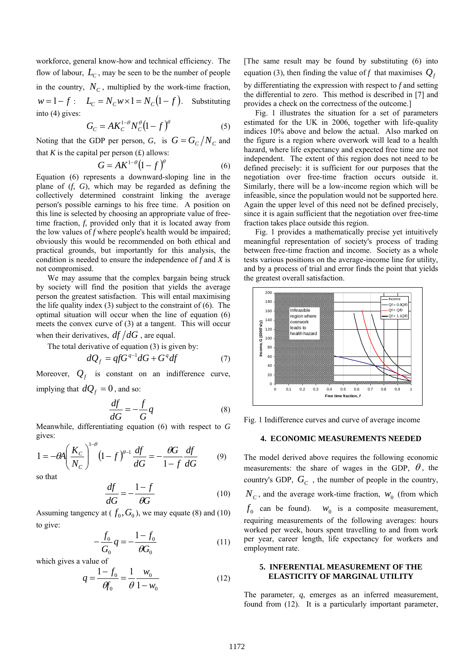workforce, general know-how and technical efficiency. The flow of labour,  $L_c$ , may be seen to be the number of people in the country,  $N_c$ , multiplied by the work-time fraction,  $w = 1 - f$  :  $L_c = N_c w \times 1 = N_c (1 - f)$ . Substituting into (4) gives:

$$
G_C = AK_C^{1-\theta}N_C^{\theta}\left(1-f\right)^{\theta}
$$
 (5)

Noting that the GDP per person, *G*, is  $G = G_C / N_C$  and that  $K$  is the capital per person  $(f)$  allows:

$$
G = AK^{1-\theta}\left(1-f\right)^{\theta} \tag{6}
$$

Equation (6) represents a downward-sloping line in the plane of (*f, G*), which may be regarded as defining the collectively determined constraint linking the average person's possible earnings to his free time. A position on this line is selected by choosing an appropriate value of freetime fraction, *f*, provided only that it is located away from the low values of *f* where people's health would be impaired; obviously this would be recommended on both ethical and practical grounds, but importantly for this analysis, the condition is needed to ensure the independence of *f* and *X* is not compromised.

 We may assume that the complex bargain being struck by society will find the position that yields the average person the greatest satisfaction. This will entail maximising the life quality index (3) subject to the constraint of (6). The optimal situation will occur when the line of equation (6) meets the convex curve of (3) at a tangent. This will occur when their derivatives,  $df/dG$ , are equal.

The total derivative of equation (3) is given by:

$$
dQ_f = qfG^{q-1}dG + G^q df \tag{7}
$$

Moreover,  $Q_f$  is constant on an indifference curve, implying that  $dQ_f = 0$ , and so:

$$
\frac{df}{dG} = -\frac{f}{G}q\tag{8}
$$

Meanwhile, differentiating equation (6) with respect to *G* gives:

$$
1 = -\theta A \left(\frac{K_C}{N_C}\right)^{1-\theta} \left(1 - f\right)^{\theta - 1} \frac{df}{dG} = -\frac{\theta G}{1 - f} \frac{df}{dG} \tag{9}
$$

so that

$$
\frac{df}{dG} = -\frac{1 - f}{\theta G} \tag{10}
$$

Assuming tangency at  $(f_0, G_0)$ , we may equate (8) and (10) to give:

$$
-\frac{f_0}{G_0}q = -\frac{1 - f_0}{\theta G_0} \tag{11}
$$

which gives a value of

$$
q = \frac{1 - f_0}{\theta_0} = \frac{1}{\theta} \frac{w_0}{1 - w_0}
$$
 (12)

[The same result may be found by substituting (6) into equation (3), then finding the value of *f* that maximises  $Q_f$ by differentiating the expression with respect to *f* and setting the differential to zero. This method is described in [7] and provides a check on the correctness of the outcome.]

 Fig. 1 illustrates the situation for a set of parameters estimated for the UK in 2006, together with life-quality indices 10% above and below the actual. Also marked on the figure is a region where overwork will lead to a health hazard, where life expectancy and expected free time are not independent. The extent of this region does not need to be defined precisely: it is sufficient for our purposes that the negotiation over free-time fraction occurs outside it. Similarly, there will be a low-income region which will be infeasible, since the population would not be supported here. Again the upper level of this need not be defined precisely, since it is again sufficient that the negotiation over free-time fraction takes place outside this region.

 Fig. 1 provides a mathematically precise yet intuitively meaningful representation of society's process of trading between free-time fraction and income. Society as a whole tests various positions on the average-income line for utility, and by a process of trial and error finds the point that yields the greatest overall satisfaction.



Fig. 1 Indifference curves and curve of average income

### **4. ECONOMIC MEASUREMENTS NEEDED**

The model derived above requires the following economic measurements: the share of wages in the GDP,  $\theta$ , the country's GDP,  $G_c$ , the number of people in the country,  $N_c$ , and the average work-time fraction,  $W_0$  (from which  $f_0$  can be found).  $w_0$  is a composite measurement, requiring measurements of the following averages: hours worked per week, hours spent travelling to and from work per year, career length, life expectancy for workers and employment rate.

### **5. INFERENTIAL MEASUREMENT OF THE ELASTICITY OF MARGINAL UTILITY**

The parameter, *q*, emerges as an inferred measurement, found from (12). It is a particularly important parameter,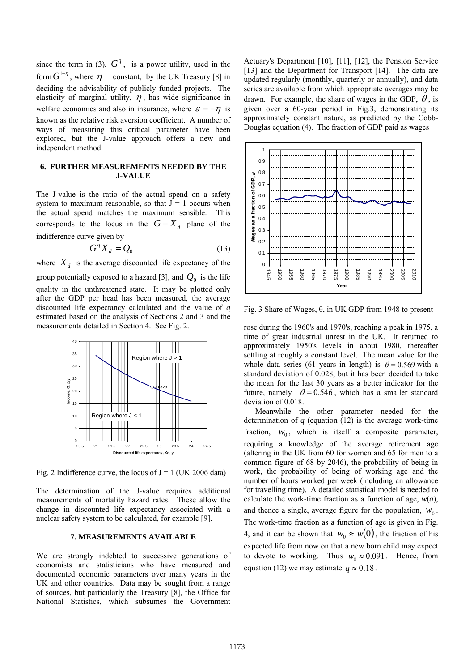since the term in (3),  $G<sup>q</sup>$ , is a power utility, used in the form  $G^{1-\eta}$ , where  $\eta$  = constant, by the UK Treasury [8] in deciding the advisability of publicly funded projects. The elasticity of marginal utility,  $\eta$ , has wide significance in welfare economics and also in insurance, where  $\varepsilon = -\eta$  is known as the relative risk aversion coefficient. A number of ways of measuring this critical parameter have been explored, but the J-value approach offers a new and independent method.

# **6. FURTHER MEASUREMENTS NEEDED BY THE J-VALUE**

The J-value is the ratio of the actual spend on a safety system to maximum reasonable, so that  $J = 1$  occurs when the actual spend matches the maximum sensible. This corresponds to the locus in the  $G - X_d$  plane of the indifference curve given by

$$
G^q X_d = Q_0 \tag{13}
$$

where  $X_d$  is the average discounted life expectancy of the

group potentially exposed to a hazard [3], and  $Q_0$  is the life quality in the unthreatened state. It may be plotted only after the GDP per head has been measured, the average discounted life expectancy calculated and the value of *q* estimated based on the analysis of Sections 2 and 3 and the measurements detailed in Section 4. See Fig. 2.



Fig. 2 Indifference curve, the locus of  $J = 1$  (UK 2006 data)

The determination of the J-value requires additional measurements of mortality hazard rates. These allow the change in discounted life expectancy associated with a nuclear safety system to be calculated, for example [9].

## **7. MEASUREMENTS AVAILABLE**

We are strongly indebted to successive generations of economists and statisticians who have measured and documented economic parameters over many years in the UK and other countries. Data may be sought from a range of sources, but particularly the Treasury [8], the Office for National Statistics, which subsumes the Government Actuary's Department [10], [11], [12], the Pension Service [13] and the Department for Transport [14]. The data are updated regularly (monthly, quarterly or annually), and data series are available from which appropriate averages may be drawn. For example, the share of wages in the GDP,  $\theta$ , is given over a 60-year period in Fig.3, demonstrating its approximately constant nature, as predicted by the Cobb-Douglas equation (4). The fraction of GDP paid as wages



Fig. 3 Share of Wages, θ, in UK GDP from 1948 to present

rose during the 1960's and 1970's, reaching a peak in 1975, a time of great industrial unrest in the UK. It returned to approximately 1950's levels in about 1980, thereafter settling at roughly a constant level. The mean value for the whole data series (61 years in length) is  $\theta = 0.569$  with a standard deviation of 0.028, but it has been decided to take the mean for the last 30 years as a better indicator for the future, namely  $\theta = 0.546$ , which has a smaller standard deviation of 0.018.

Meanwhile the other parameter needed for the determination of *q* (equation (12) is the average work-time fraction,  $W_0$ , which is itself a composite parameter, requiring a knowledge of the average retirement age (altering in the UK from 60 for women and 65 for men to a common figure of 68 by 2046), the probability of being in work, the probability of being of working age and the number of hours worked per week (including an allowance for travelling time). A detailed statistical model is needed to calculate the work-time fraction as a function of age,  $w(a)$ , and thence a single, average figure for the population,  $W_0$ . The work-time fraction as a function of age is given in Fig. 4, and it can be shown that  $w_0 \approx w(0)$ , the fraction of his expected life from now on that a new born child may expect to devote to working. Thus  $w_0 \approx 0.091$ . Hence, from equation (12) we may estimate  $q \approx 0.18$ .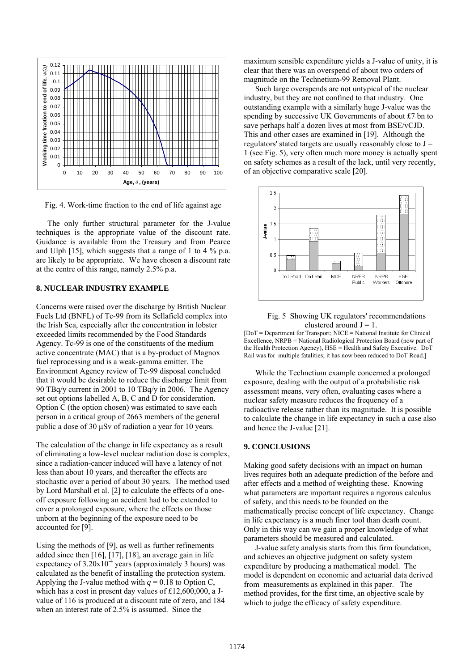

Fig. 4. Work-time fraction to the end of life against age

 The only further structural parameter for the J-value techniques is the appropriate value of the discount rate. Guidance is available from the Treasury and from Pearce and Ulph [15], which suggests that a range of 1 to 4 % p.a. are likely to be appropriate. We have chosen a discount rate at the centre of this range, namely 2.5% p.a.

### **8. NUCLEAR INDUSTRY EXAMPLE**

Concerns were raised over the discharge by British Nuclear Fuels Ltd (BNFL) of Tc-99 from its Sellafield complex into the Irish Sea, especially after the concentration in lobster exceeded limits recommended by the Food Standards Agency. Tc-99 is one of the constituents of the medium active concentrate (MAC) that is a by-product of Magnox fuel reprocessing and is a weak-gamma emitter. The Environment Agency review of Tc-99 disposal concluded that it would be desirable to reduce the discharge limit from 90 TBq/y current in 2001 to 10 TBq/y in 2006. The Agency set out options labelled A, B, C and D for consideration. Option C (the option chosen) was estimated to save each person in a critical group of 2663 members of the general public a dose of 30 μSv of radiation a year for 10 years.

The calculation of the change in life expectancy as a result of eliminating a low-level nuclear radiation dose is complex, since a radiation-cancer induced will have a latency of not less than about 10 years, and thereafter the effects are stochastic over a period of about 30 years. The method used by Lord Marshall et al. [2] to calculate the effects of a oneoff exposure following an accident had to be extended to cover a prolonged exposure, where the effects on those unborn at the beginning of the exposure need to be accounted for [9].

Using the methods of [9], as well as further refinements added since then [16], [17], [18], an average gain in life expectancy of  $3.20x10^{-4}$  years (approximately 3 hours) was calculated as the benefit of installing the protection system. Applying the J-value method with  $q = 0.18$  to Option C, which has a cost in present day values of £12,600,000, a Jvalue of 116 is produced at a discount rate of zero, and 184 when an interest rate of 2.5% is assumed. Since the

maximum sensible expenditure yields a J-value of unity, it is clear that there was an overspend of about two orders of magnitude on the Technetium-99 Removal Plant.

Such large overspends are not untypical of the nuclear industry, but they are not confined to that industry. One outstanding example with a similarly huge J-value was the spending by successive UK Governments of about £7 bn to save perhaps half a dozen lives at most from BSE/vCJD. This and other cases are examined in [19]. Although the regulators' stated targets are usually reasonably close to  $J =$ 1 (see Fig. 5), very often much more money is actually spent on safety schemes as a result of the lack, until very recently, of an objective comparative scale [20].





[DoT = Department for Transport; NICE = National Institute for Clinical Excellence, NRPB = National Radiological Protection Board (now part of the Health Protection Agency), HSE = Health and Safety Executive. DoT Rail was for multiple fatalities; it has now been reduced to DoT Road.]

While the Technetium example concerned a prolonged exposure, dealing with the output of a probabilistic risk assessment means, very often, evaluating cases where a nuclear safety measure reduces the frequency of a radioactive release rather than its magnitude. It is possible to calculate the change in life expectancy in such a case also and hence the J-value [21].

### **9. CONCLUSIONS**

Making good safety decisions with an impact on human lives requires both an adequate prediction of the before and after effects and a method of weighting these. Knowing what parameters are important requires a rigorous calculus of safety, and this needs to be founded on the mathematically precise concept of life expectancy. Change in life expectancy is a much finer tool than death count. Only in this way can we gain a proper knowledge of what parameters should be measured and calculated.

J-value safety analysis starts from this firm foundation, and achieves an objective judgment on safety system expenditure by producing a mathematical model. The model is dependent on economic and actuarial data derived from measurements as explained in this paper. The method provides, for the first time, an objective scale by which to judge the efficacy of safety expenditure.